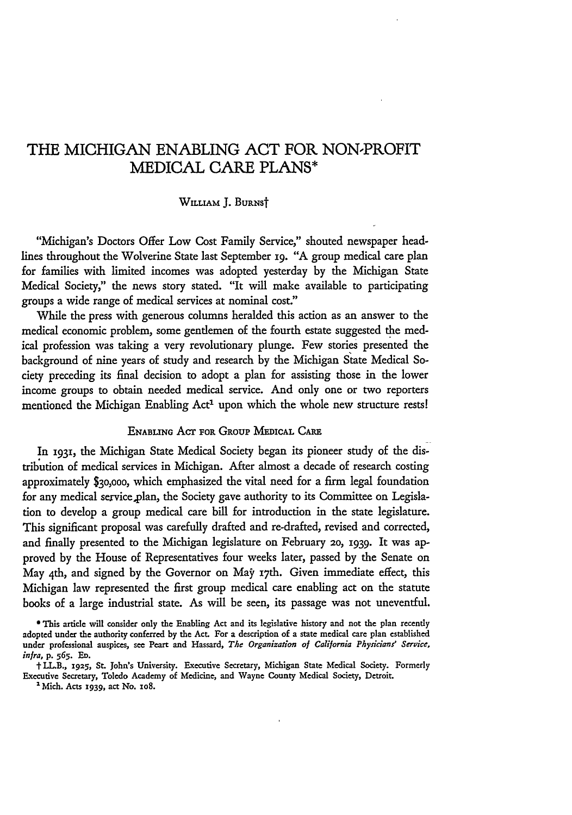# THE MICHIGAN ENABLING ACT FOR NON-PROFIT MEDICAL CARE PLANS\*

#### **WLLIAM** J. **BuRNs**

"Michigan's Doctors Offer Low Cost Family Service," shouted newspaper headlines throughout the Wolverine State last September **19. "A** group medical care plan for families with limited incomes was adopted yesterday by the Michigan State Medical Society," the news story stated. "It will make available to participating groups a wide range of medical services at nominal cost."

While the press with generous columns heralded this action as an answer to the medical economic problem, some gentlemen of the fourth estate suggested the medical profession was taking a very revolutionary plunge. Few stories presented the background of nine years of study and research by the Michigan State Medical Society preceding its final decision to adopt a plan for assisting those in the lower income groups to obtain needed medical service. And only one or two reporters mentioned the Michigan Enabling Act<sup>1</sup> upon which the whole new structure rests!

# **ENABLING ACT FOR GROUP MEDICAL CARE**

In **i93i,** the Michigan State Medical Society began its pioneer study of the distribution of medical services in Michigan. After almost a decade of research costing approximately \$30,000, which emphasized the vital need for a firm legal foundation for any medical service.plan, the Society gave authority to its Committee on Legislation to develop a group medical care bill for introduction in the state legislature. This significant proposal was carefully drafted and re-drafted, revised and corrected, and finally presented to the Michigan legislature on February 20, 1939. It was approved by the House of Representatives four weeks later, passed by the Senate on May 4th, and signed by the Governor on May 17th. Given immediate effect, this Michigan law represented the first group medical care enabling act on the statute books of a large industrial state. As will be seen, its passage was not uneventful.

**<sup>0</sup>** This article will consider only the Enabling Act and its legislative history and **not** the plan recently adopted under the authority conferred **by** the Act. For a description of a state medical care plan established under professional auspices, see Peart and Hassard, *The Organization of California Physicians' Service, infra,* P. **565. En.**

t LL.B., **1925,** St John's University. Executive Secretary, Michigan State Medical Society. Formerly Executive Secretary, Toledo Academy of Medicine, and Wayne County Medical Society, Detroit.

<sup>&#</sup>x27;Mich. Acts **1939, act No.** io8.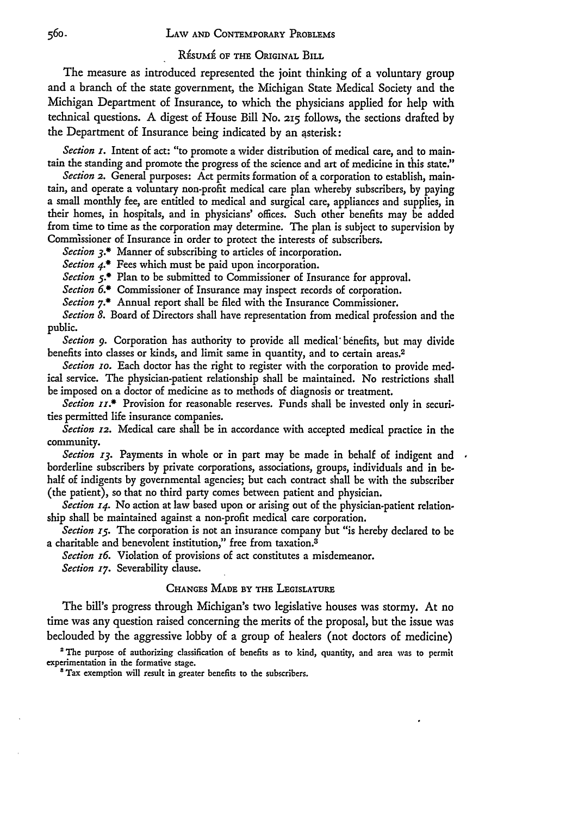#### *56o.* LAW **AND** CONTEMPORARY PROBLEMS

#### **RESUME'** OF **THE** ORIGINAL BILL

The measure as introduced represented the joint thinking of a voluntary group and a branch of the state government, the Michigan State Medical Society and the Michigan Department of Insurance, to which the physicians applied for help with technical questions. A digest of House Bill No. **215** follows, the sections drafted by the Department of Insurance being indicated by an asterisk:

*Section x.* Intent of act: "to promote a wider distribution of medical care, and to maintain the standing and promote the progress of the science and art of medicine in this state."

*Section* **2.** General purposes: Act permits formation of a corporation to establish, maintain, and operate a voluntary non-profit medical care plan whereby subscribers, **by** paying a small monthly fee, are entitled to medical and surgical care, appliances and supplies, in their homes, in hospitals, and in physicians' offices. Such other benefits may **be** added from time to time as the corporation may determine. The plan is subject to supervision **by** Commissioner of Insurance in order to protect the interests of subscribers.

*Section 3.\** Manner of subscribing to articles of incorporation.

*Section 4.\** Fees which must be paid upon incorporation.

*Section 5.\** Plan to be submitted to Commissioner of Insurance for approval.

*Section 6.\** Commissioner of Insurance may inspect records of corporation.

*Section 7"\** Annual report shall be filed with the Insurance Commissioner.

*Section 8.* Board of Directors shall have representation from medical profession and the public.

Section 9. Corporation has authority to provide all medical benefits, but may divide benefits into classes or kinds, and limit same in quantity, and to certain areas.<sup>2</sup>

*Section zo.* Each doctor has the right to register with the corporation to provide medical service. The physician-patient relationship shall be maintained. No restrictions shall be imposed on a doctor of medicine as to methods of diagnosis or treatment.

*Section r.\** Provision for reasonable reserves. Funds shall be invested only in securities permitted life insurance companies.

*Section 12.* Medical care shall be in accordance with accepted medical practice in the community.

*Section 13.* Payments in whole or in part may be made in behalf of indigent and borderline subscribers by private corporations, associations, groups, individuals and in behalf of indigents by governmental agencies; but each contract shall be with the subscriber (the patient), so that no third party comes between patient and physician.

*Section 14.* No action at law based upon or arising out of the physician-patient relationship shall be maintained against a non-profit medical care corporation.

*Section 15 .* The corporation is not an insurance company but "is hereby declared to be a charitable and benevolent institution," free from taxation.<sup>3</sup>

*Section z6.* Violation of provisions of act constitutes a misdemeanor.

Section 17. Severability clause.

### **CHANGES MADE BY THE** LEGISLATURE

The bill's progress through Michigan's two legislative houses was stormy. At no time was any question raised concerning the merits of the proposal, but the issue was beclouded by the aggressive lobby of a group of healers (not doctors of medicine)

**'** The purpose of authorizing classification of benefits as to kind, quantity, and area was to permit experimentation in the formative stage.

**'** Tax exemption will result in greater benefits to the subscribers.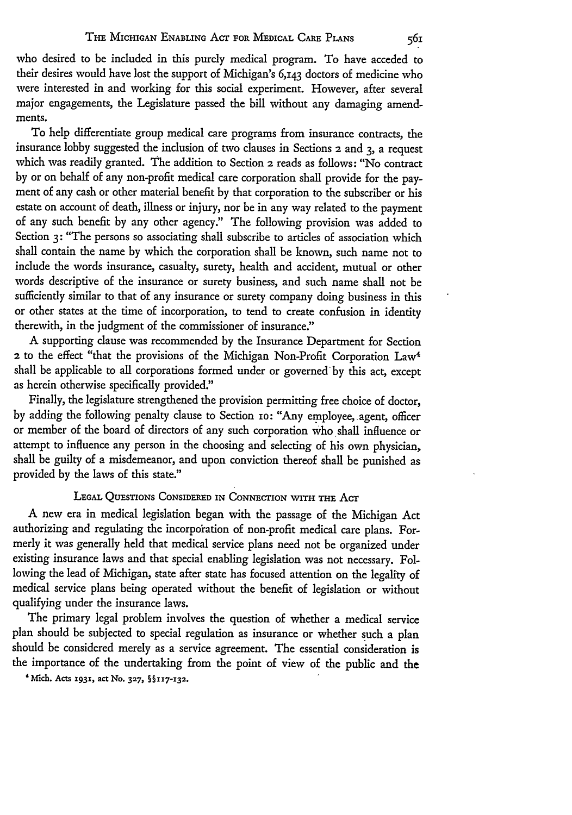who desired to be included in this purely medical program. To have acceded to their desires would have lost the support of Michigan's 6,143 doctors of medicine who were interested in and working for this social experiment. However, after several major engagements, the Legislature passed the bill without any damaging amendments.

To help differentiate group medical care programs from insurance contracts, the insurance lobby suggested the inclusion of two clauses in Sections 2 and 3, a request which was readily granted. The addition to Section **2** reads as follows: "No contract by or on behalf of any non-profit medical care corporation shall provide for the payment of any cash or other material benefit by that corporation to the subscriber or his estate on account of death, illness or injury, nor be in any way related to the payment of any such benefit by any other agency." The following provision was added to Section **3:** "The persons so associating shall subscribe to articles of association which shall contain the name by which the corporation shall be known, such name not to include the words insurance, casualty, surety, health and accident, mutual or other words descriptive of the insurance or surety business, and such name shall not be sufficiently similar to that of any insurance or surety company doing business in this or other states at the time of incorporation, to tend to create confusion in identity therewith, in the judgment of the commissioner of insurance."

A supporting clause was recommended by the Insurance Department for Section **<sup>2</sup>**to the effect "that the provisions of the Michigan Non-Profit Corporation Law<sup>4</sup> shall be applicable to all corporations formed under or governed by this act, except as herein otherwise specifically provided."

Finally, the legislature strengthened the provision permitting free choice of doctor, by adding the following penalty clause to Section io: "Any employee, agent, officer or member of the board of directors of any such corporation who shall influence or attempt to influence any person in the choosing and selecting of his own physician, shall be guilty of a misdemeanor, and upon conviction thereof shall be punished as provided by the laws of this state."

# **LEGAL QUESTIONS CONSIDERED** IN **CONNECTION** WITH THE AcT

A new era in medical legislation began with the passage of the Michigan Act authorizing and regulating the incorporation of non-profit medical care plans. Formerly it **was** generally held that medical service plans need not be organized under existing insurance laws and that special enabling legislation was not necessary. Following the lead of Michigan, state after state has focused attention on the legality of medical service plans being operated without the benefit of legislation or without qualifying under the insurance laws.

The primary legal problem involves the question of whether a medical service plan should be subjected to special regulation as insurance or whether such a plan should be considered merely as a service agreement. The essential consideration is the importance of the undertaking from the point of view of the public and the

**' Mich. Acts x931, act No. 327, §IS17-I32.**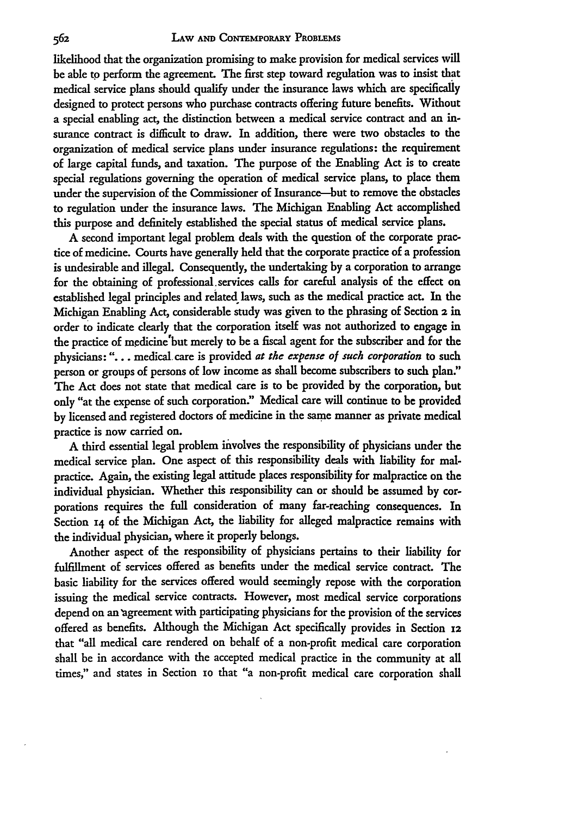likelihood that the organization promising to make provision for medical services will be able to perform the agreement. The first step toward regulation was to insist that medical service plans should qualify under the insurance laws which are specifically designed to protect persons who purchase contracts offering future benefits. Without a special enabling act, the distinction between a medical service contract and an **in**surance contract is difficult to draw. In addition, there were two obstacles to the organization of medical service plans under insurance regulations: the requirement of large capital funds, and taxation. The purpose of the Enabling Act is to create special regulations governing the operation of medical service plans, to place them under the supervision of the Commissioner of Insurance-but to remove the obstacles to regulation under the insurance laws. The Michigan Enabling Act accomplished this purpose and definitely established the special status of medical service plans.

A second important legal problem deals with the question of the corporate practice of medicine. Courts have generally held that the corporate practice of a profession is undesirable and illegal. Consequently, the undertaking by a corporation to arrange for the obtaining of professional. services calls for careful analysis of the effect on established legal principles and related laws, such as the medical practice act. In the Michigan Enabling Act, considerable study was given to the phrasing **of** Section **2** in order to indicate dearly that the corporation itself was not authorized to engage in the practice of medicine but merely to be a fiscal agent for the subscriber and for the physicians: "... medical care is provided *at the expense of such corporation* to such person or groups of persons of low income as shall become subscribers to such plan." The Act does not state that medical care is to be provided by the corporation, but only "at the expense of such corporation." Medical care will continue to be provided by licensed and registered doctors of medicine in the same manner as private medical practice is now carried on.

A third essential legal problem involves the responsibility of physicians under the medical service plan. One aspect of this responsibility deals with liability for malpractice. Again, the existing legal attitude places responsibility for malpractice on the individual physician. Whether this responsibility can or should be assumed by corporations requires the full consideration of many far-reaching consequences. In Section **14** of the Michigan Act, the liability for alleged malpractice remains with the individual physician, where it properly belongs.

Another aspect of the responsibility of physicians pertains to their liability for fulfillment of services offered as benefits under the medical service contract. The basic liability for the services offered would seemingly repose with the corporation issuing the medical service contracts. However, most medical service corporations depend on an'agreement with participating physicians for the provision of the services offered as benefits. Although the Michigan Act specifically provides in Section 12 that "all medical care rendered on behalf of a non-profit medical care corporation shall be in accordance with the accepted medical practice in the community at all times," and states in Section io that "a non-profit medical care corporation shall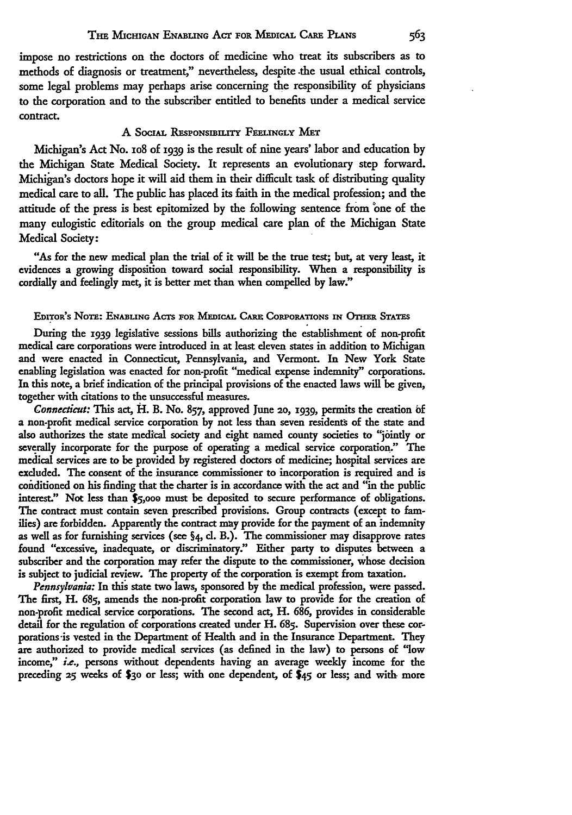impose no restrictions on the doctors of medicine who treat its subscribers as to methods of diagnosis or treatment," nevertheless, despite .the usual ethical controls, some legal problems may perhaps arise concerning the responsibility of physicians to the corporation and to **the** subscriber entitled to benefits under a medical service contract.

# A SOCIAL RESPONSIBILITY FEELINGLY MET

Michigan's Act No. io8 of 1939 is the result of nine years' labor and education **by** the Michigan State Medical Society. It represents an evolutionary step forward. Michigan's doctors hope it will aid them in their difficult task of distributing quality medical care to all. The public has placed its faith in the medical profession; and the attitude of the press is best epitomized **by** the following sentence from 'one of the many eulogistic editorials on the group medical care plan of the Michigan State Medical Society:

"As for the new medical plan the trial of it will be the true test; but, at very least, it evidences a growing disposition toward social responsibility. When a responsibility is cordially and feelingly met, it is better met than when compelled by law."

#### **EDITOR'S NOTE: ENABLING ACTS FOR MEDICAL CARE CORPORATIONS IN OTHER STATES**

During the **1939** legislative sessions bills authorizing the establishment of non-profit medical care corporations were introduced in at least eleven states in addition to Michigan and were enacted in Connecticut, Pennsylvania, and Vermont. In New York State enabling legislation was enacted for non-profit "medical expense indemnity" corporations. In this note, a brief indication of the principal provisions of the enacted laws will be given, together with citations to the unsuccessful measures.

*Connecticut:* This act, **H.** B. No. **857,** approved June **20, x939,** permits the creation **bf** a non-profit medical service corporation **by** not less than seven residents of the state and also authorizes the state medical society and eight named county societies to "jointly or severally incorporate for the purpose of operating a medical service corporation." The medical services are to be provided **by** registered doctors of medicine; hospital services are excluded. The consent of the insurance commissioner to incorporation is required and is coiditioned on his finding that the charter is in accordance with the act and "in the public interest." Not less than \$5,ooo must be deposited to secure performance of obligations. The contract must contain seven prescribed provisions. Group contracts (except to families) are forbidden. Apparently the contract **may** provide for the payment of an indemnity as well as for furnishing services (see §4, **d.** B.). The commissioner may disapprove rates found "excessive, inadequate, or discriminatory." Either party to disputes between a subscriber and the corporation may refer the dispute to the commissioner, whose decision is subject to judicial review. The property of the corporation is exempt from taxation.

*Pennsylvania:* In this state two laws, sponsored by the medical profession, were passed. The first, H. 685, amends the non-profit corporation law to provide for the creation of non-profit medical service corporations. The second act, H. 686, provides in considerable detail for the regulation of corporations created under H. 685. Supervision over these corporations -is vested in the Department of Health and in the Insurance Department. They arc authorized to provide medical services (as defined in the law) to persons of "low income," *i.e.,* persons without dependents having an average weekly income for the preceding **25** weeks of **\$3o** or less; with one dependent, of \$45 or less; and with more